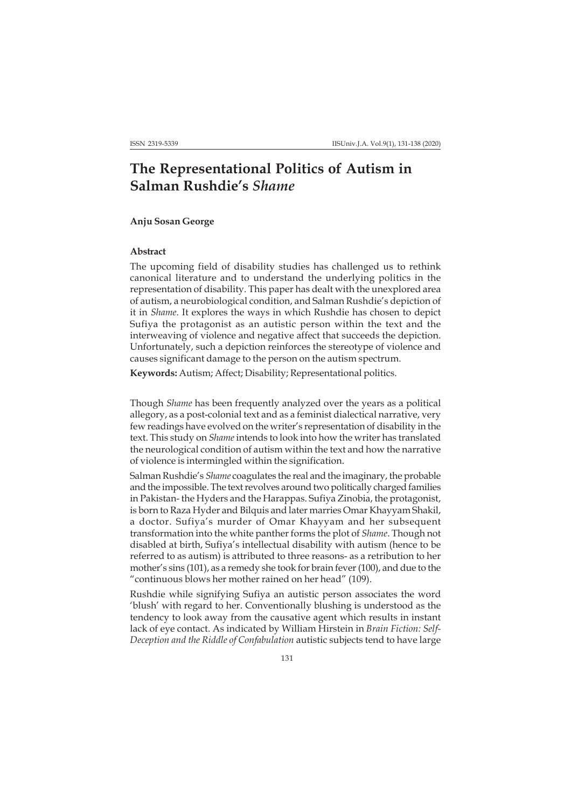## **The Representational Politics of Autism in Salman Rushdie's** *Shame*

## **Anju Sosan George**

## **Abstract**

The upcoming field of disability studies has challenged us to rethink canonical literature and to understand the underlying politics in the representation of disability. This paper has dealt with the unexplored area of autism, a neurobiological condition, and Salman Rushdie's depiction of it in *Shame*. It explores the ways in which Rushdie has chosen to depict Sufiya the protagonist as an autistic person within the text and the interweaving of violence and negative affect that succeeds the depiction. Unfortunately, such a depiction reinforces the stereotype of violence and causes significant damage to the person on the autism spectrum.

**Keywords:** Autism; Affect; Disability; Representational politics.

Though *Shame* has been frequently analyzed over the years as a political allegory, as a post-colonial text and as a feminist dialectical narrative, very few readings have evolved on the writer's representation of disability in the text. This study on *Shame* intends to look into how the writer has translated the neurological condition of autism within the text and how the narrative of violence is intermingled within the signification.

Salman Rushdie's *Shame* coagulates the real and the imaginary, the probable and the impossible. The text revolves around two politically charged families in Pakistan- the Hyders and the Harappas. Sufiya Zinobia, the protagonist, is born to Raza Hyder and Bilquis and later marries Omar Khayyam Shakil, a doctor. Sufiya's murder of Omar Khayyam and her subsequent transformation into the white panther forms the plot of *Shame*. Though not disabled at birth, Sufiya's intellectual disability with autism (hence to be referred to as autism) is attributed to three reasons- as a retribution to her mother's sins (101), as a remedy she took for brain fever (100), and due to the "continuous blows her mother rained on her head" (109).

Rushdie while signifying Sufiya an autistic person associates the word 'blush' with regard to her. Conventionally blushing is understood as the tendency to look away from the causative agent which results in instant lack of eye contact. As indicated by William Hirstein in *Brain Fiction: Self-Deception and the Riddle of Confabulation* autistic subjects tend to have large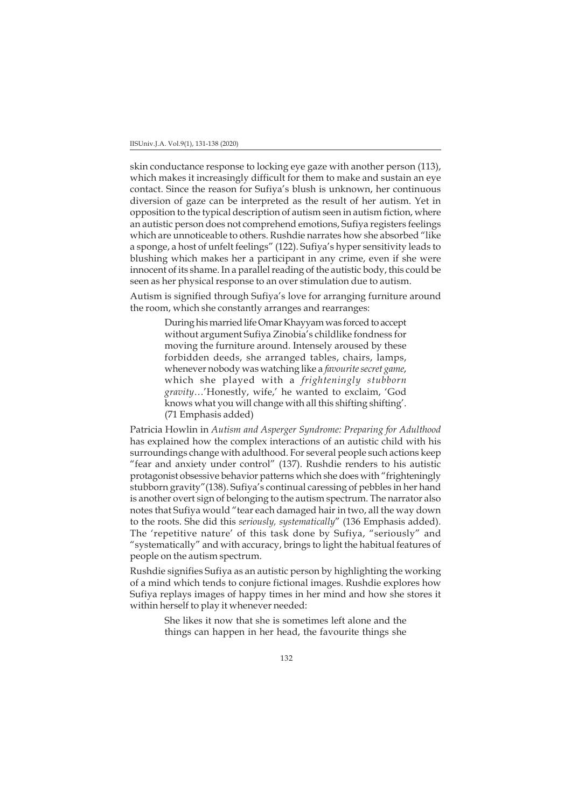skin conductance response to locking eye gaze with another person (113), which makes it increasingly difficult for them to make and sustain an eye contact. Since the reason for Sufiya's blush is unknown, her continuous diversion of gaze can be interpreted as the result of her autism. Yet in opposition to the typical description of autism seen in autism fiction, where an autistic person does not comprehend emotions, Sufiya registers feelings which are unnoticeable to others. Rushdie narrates how she absorbed "like a sponge, a host of unfelt feelings" (122). Sufiya's hyper sensitivity leads to blushing which makes her a participant in any crime, even if she were innocent of its shame. In a parallel reading of the autistic body, this could be seen as her physical response to an over stimulation due to autism.

Autism is signified through Sufiya's love for arranging furniture around the room, which she constantly arranges and rearranges:

> During his married life Omar Khayyam was forced to accept without argument Sufiya Zinobia's childlike fondness for moving the furniture around. Intensely aroused by these forbidden deeds, she arranged tables, chairs, lamps, whenever nobody was watching like a *favourite secret game*, which she played with a *frighteningly stubborn gravity*…'Honestly, wife,' he wanted to exclaim, 'God knows what you will change with all this shifting shifting'. (71 Emphasis added)

Patricia Howlin in *Autism and Asperger Syndrome: Preparing for Adulthood* has explained how the complex interactions of an autistic child with his surroundings change with adulthood. For several people such actions keep "fear and anxiety under control" (137). Rushdie renders to his autistic protagonist obsessive behavior patterns which she does with "frighteningly stubborn gravity"(138). Sufiya's continual caressing of pebbles in her hand is another overt sign of belonging to the autism spectrum. The narrator also notes that Sufiya would "tear each damaged hair in two, all the way down to the roots. She did this *seriously, systematically*" (136 Emphasis added). The 'repetitive nature' of this task done by Sufiya, "seriously" and "systematically" and with accuracy, brings to light the habitual features of people on the autism spectrum.

Rushdie signifies Sufiya as an autistic person by highlighting the working of a mind which tends to conjure fictional images. Rushdie explores how Sufiya replays images of happy times in her mind and how she stores it within herself to play it whenever needed:

> She likes it now that she is sometimes left alone and the things can happen in her head, the favourite things she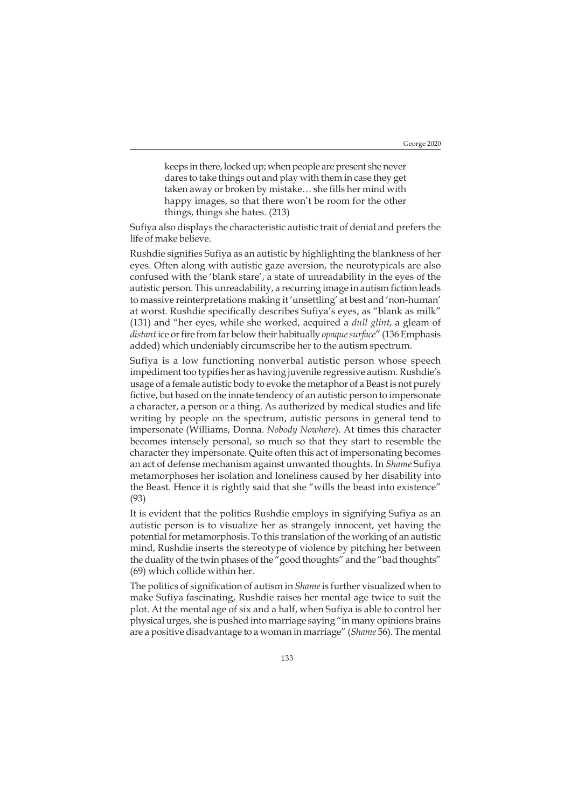keeps in there, locked up; when people are present she never dares to take things out and play with them in case they get taken away or broken by mistake… she fills her mind with happy images, so that there won't be room for the other things, things she hates. (213)

Sufiya also displays the characteristic autistic trait of denial and prefers the life of make believe.

Rushdie signifies Sufiya as an autistic by highlighting the blankness of her eyes. Often along with autistic gaze aversion, the neurotypicals are also confused with the 'blank stare', a state of unreadability in the eyes of the autistic person. This unreadability, a recurring image in autism fiction leads to massive reinterpretations making it 'unsettling' at best and 'non-human' at worst. Rushdie specifically describes Sufiya's eyes, as "blank as milk" (131) and "her eyes, while she worked, acquired a *dull glint*, a gleam of *distant* ice or fire from far below their habitually *opaque surface*" (136 Emphasis added) which undeniably circumscribe her to the autism spectrum.

Sufiya is a low functioning nonverbal autistic person whose speech impediment too typifies her as having juvenile regressive autism. Rushdie's usage of a female autistic body to evoke the metaphor of a Beast is not purely fictive, but based on the innate tendency of an autistic person to impersonate a character, a person or a thing. As authorized by medical studies and life writing by people on the spectrum, autistic persons in general tend to impersonate (Williams, Donna. *Nobody Nowhere*). At times this character becomes intensely personal, so much so that they start to resemble the character they impersonate. Quite often this act of impersonating becomes an act of defense mechanism against unwanted thoughts. In *Shame* Sufiya metamorphoses her isolation and loneliness caused by her disability into the Beast. Hence it is rightly said that she "wills the beast into existence" (93)

It is evident that the politics Rushdie employs in signifying Sufiya as an autistic person is to visualize her as strangely innocent, yet having the potential for metamorphosis. To this translation of the working of an autistic mind, Rushdie inserts the stereotype of violence by pitching her between the duality of the twin phases of the "good thoughts" and the "bad thoughts" (69) which collide within her.

The politics of signification of autism in *Shame* is further visualized when to make Sufiya fascinating, Rushdie raises her mental age twice to suit the plot. At the mental age of six and a half, when Sufiya is able to control her physical urges, she is pushed into marriage saying "in many opinions brains are a positive disadvantage to a woman in marriage" (*Shame* 56). The mental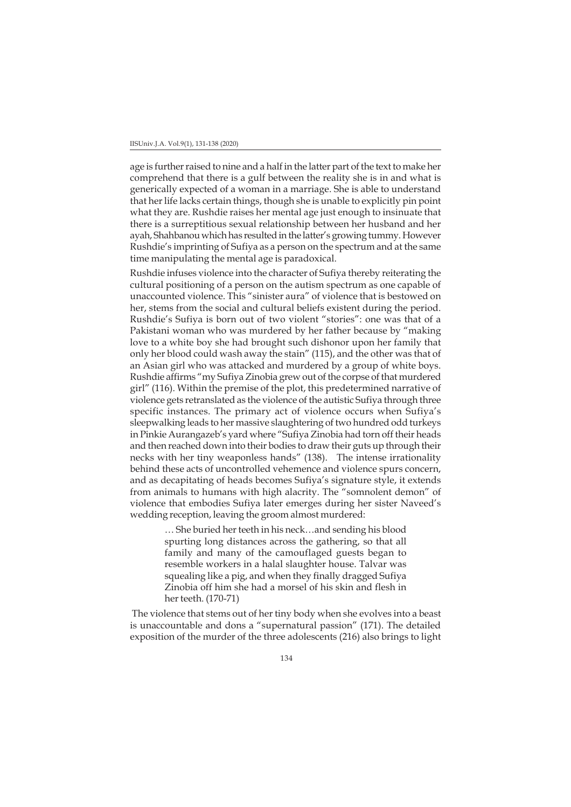age is further raised to nine and a half in the latter part of the text to make her comprehend that there is a gulf between the reality she is in and what is generically expected of a woman in a marriage. She is able to understand that her life lacks certain things, though she is unable to explicitly pin point what they are. Rushdie raises her mental age just enough to insinuate that there is a surreptitious sexual relationship between her husband and her ayah, Shahbanou which has resulted in the latter's growing tummy. However Rushdie's imprinting of Sufiya as a person on the spectrum and at the same time manipulating the mental age is paradoxical.

Rushdie infuses violence into the character of Sufiya thereby reiterating the cultural positioning of a person on the autism spectrum as one capable of unaccounted violence. This "sinister aura" of violence that is bestowed on her, stems from the social and cultural beliefs existent during the period. Rushdie's Sufiya is born out of two violent "stories": one was that of a Pakistani woman who was murdered by her father because by "making love to a white boy she had brought such dishonor upon her family that only her blood could wash away the stain" (115), and the other was that of an Asian girl who was attacked and murdered by a group of white boys. Rushdie affirms "my Sufiya Zinobia grew out of the corpse of that murdered girl" (116). Within the premise of the plot, this predetermined narrative of violence gets retranslated as the violence of the autistic Sufiya through three specific instances. The primary act of violence occurs when Sufiya's sleepwalking leads to her massive slaughtering of two hundred odd turkeys in Pinkie Aurangazeb's yard where "Sufiya Zinobia had torn off their heads and then reached down into their bodies to draw their guts up through their necks with her tiny weaponless hands" (138). The intense irrationality behind these acts of uncontrolled vehemence and violence spurs concern, and as decapitating of heads becomes Sufiya's signature style, it extends from animals to humans with high alacrity. The "somnolent demon" of violence that embodies Sufiya later emerges during her sister Naveed's wedding reception, leaving the groom almost murdered:

> … She buried her teeth in his neck…and sending his blood spurting long distances across the gathering, so that all family and many of the camouflaged guests began to resemble workers in a halal slaughter house. Talvar was squealing like a pig, and when they finally dragged Sufiya Zinobia off him she had a morsel of his skin and flesh in her teeth. (170-71)

 The violence that stems out of her tiny body when she evolves into a beast is unaccountable and dons a "supernatural passion" (171). The detailed exposition of the murder of the three adolescents (216) also brings to light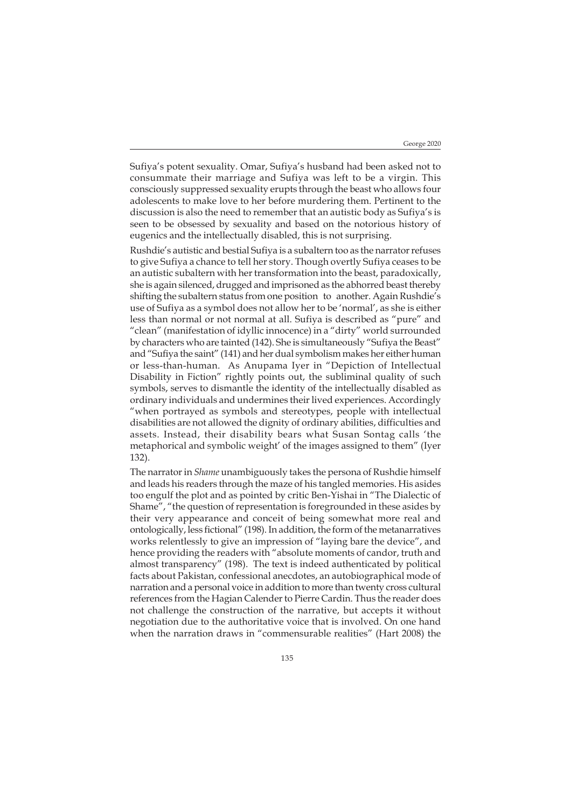Sufiya's potent sexuality. Omar, Sufiya's husband had been asked not to consummate their marriage and Sufiya was left to be a virgin. This consciously suppressed sexuality erupts through the beast who allows four adolescents to make love to her before murdering them. Pertinent to the discussion is also the need to remember that an autistic body as Sufiya's is seen to be obsessed by sexuality and based on the notorious history of eugenics and the intellectually disabled, this is not surprising.

Rushdie's autistic and bestial Sufiya is a subaltern too as the narrator refuses to give Sufiya a chance to tell her story. Though overtly Sufiya ceases to be an autistic subaltern with her transformation into the beast, paradoxically, she is again silenced, drugged and imprisoned as the abhorred beast thereby shifting the subaltern status from one position to another. Again Rushdie's use of Sufiya as a symbol does not allow her to be 'normal', as she is either less than normal or not normal at all. Sufiya is described as "pure" and "clean" (manifestation of idyllic innocence) in a "dirty" world surrounded by characters who are tainted (142). She is simultaneously "Sufiya the Beast" and "Sufiya the saint" (141) and her dual symbolism makes her either human or less-than-human. As Anupama Iyer in "Depiction of Intellectual Disability in Fiction" rightly points out, the subliminal quality of such symbols, serves to dismantle the identity of the intellectually disabled as ordinary individuals and undermines their lived experiences. Accordingly "when portrayed as symbols and stereotypes, people with intellectual disabilities are not allowed the dignity of ordinary abilities, difficulties and assets. Instead, their disability bears what Susan Sontag calls 'the metaphorical and symbolic weight' of the images assigned to them" (Iyer 132).

The narrator in *Shame* unambiguously takes the persona of Rushdie himself and leads his readers through the maze of his tangled memories. His asides too engulf the plot and as pointed by critic Ben-Yishai in "The Dialectic of Shame", "the question of representation is foregrounded in these asides by their very appearance and conceit of being somewhat more real and ontologically, less fictional" (198). In addition, the form of the metanarratives works relentlessly to give an impression of "laying bare the device", and hence providing the readers with "absolute moments of candor, truth and almost transparency" (198). The text is indeed authenticated by political facts about Pakistan, confessional anecdotes, an autobiographical mode of narration and a personal voice in addition to more than twenty cross cultural references from the Hagian Calender to Pierre Cardin. Thus the reader does not challenge the construction of the narrative, but accepts it without negotiation due to the authoritative voice that is involved. On one hand when the narration draws in "commensurable realities" (Hart 2008) the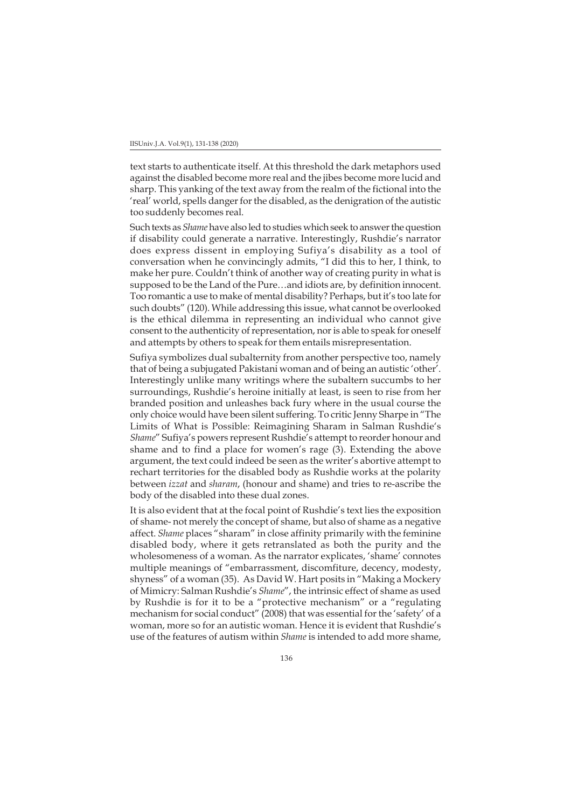text starts to authenticate itself. At this threshold the dark metaphors used against the disabled become more real and the jibes become more lucid and sharp. This yanking of the text away from the realm of the fictional into the 'real' world, spells danger for the disabled, as the denigration of the autistic too suddenly becomes real.

Such texts as *Shame* have also led to studies which seek to answer the question if disability could generate a narrative. Interestingly, Rushdie's narrator does express dissent in employing Sufiya's disability as a tool of conversation when he convincingly admits, "I did this to her, I think, to make her pure. Couldn't think of another way of creating purity in what is supposed to be the Land of the Pure…and idiots are, by definition innocent. Too romantic a use to make of mental disability? Perhaps, but it's too late for such doubts" (120). While addressing this issue, what cannot be overlooked is the ethical dilemma in representing an individual who cannot give consent to the authenticity of representation, nor is able to speak for oneself and attempts by others to speak for them entails misrepresentation.

Sufiya symbolizes dual subalternity from another perspective too, namely that of being a subjugated Pakistani woman and of being an autistic 'other'. Interestingly unlike many writings where the subaltern succumbs to her surroundings, Rushdie's heroine initially at least, is seen to rise from her branded position and unleashes back fury where in the usual course the only choice would have been silent suffering. To critic Jenny Sharpe in "The Limits of What is Possible: Reimagining Sharam in Salman Rushdie's *Shame*" Sufiya's powers represent Rushdie's attempt to reorder honour and shame and to find a place for women's rage (3). Extending the above argument, the text could indeed be seen as the writer's abortive attempt to rechart territories for the disabled body as Rushdie works at the polarity between *izzat* and *sharam*, (honour and shame) and tries to re-ascribe the body of the disabled into these dual zones.

It is also evident that at the focal point of Rushdie's text lies the exposition of shame- not merely the concept of shame, but also of shame as a negative affect. *Shame* places "sharam" in close affinity primarily with the feminine disabled body, where it gets retranslated as both the purity and the wholesomeness of a woman. As the narrator explicates, 'shame' connotes multiple meanings of "embarrassment, discomfiture, decency, modesty, shyness" of a woman (35). As David W. Hart posits in "Making a Mockery of Mimicry: Salman Rushdie's *Shame*", the intrinsic effect of shame as used by Rushdie is for it to be a "protective mechanism" or a "regulating mechanism for social conduct" (2008) that was essential for the 'safety' of a woman, more so for an autistic woman. Hence it is evident that Rushdie's use of the features of autism within *Shame* is intended to add more shame,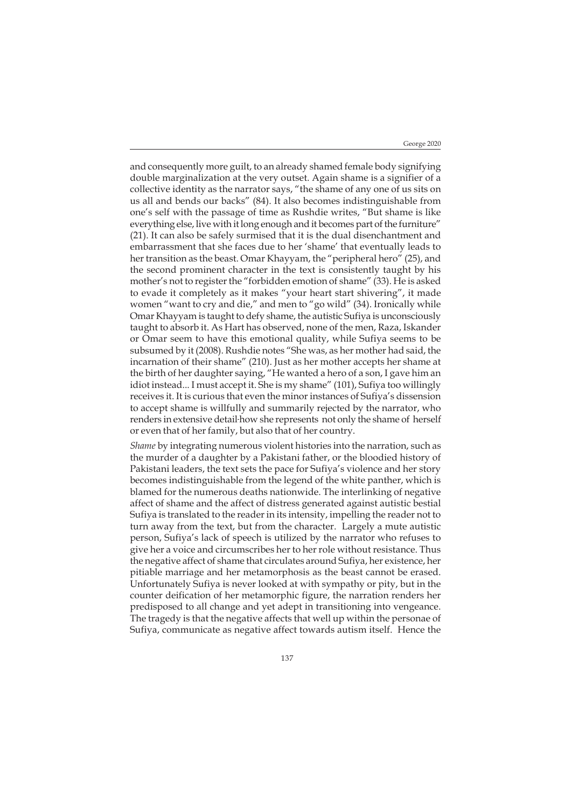and consequently more guilt, to an already shamed female body signifying double marginalization at the very outset. Again shame is a signifier of a collective identity as the narrator says, "the shame of any one of us sits on us all and bends our backs" (84). It also becomes indistinguishable from one's self with the passage of time as Rushdie writes, "But shame is like everything else, live with it long enough and it becomes part of the furniture" (21). It can also be safely surmised that it is the dual disenchantment and embarrassment that she faces due to her 'shame' that eventually leads to her transition as the beast. Omar Khayyam, the "peripheral hero" (25), and the second prominent character in the text is consistently taught by his mother's not to register the "forbidden emotion of shame" (33). He is asked to evade it completely as it makes "your heart start shivering", it made women "want to cry and die," and men to "go wild" (34). Ironically while Omar Khayyam is taught to defy shame, the autistic Sufiya is unconsciously taught to absorb it. As Hart has observed, none of the men, Raza, Iskander or Omar seem to have this emotional quality, while Sufiya seems to be subsumed by it (2008). Rushdie notes "She was, as her mother had said, the incarnation of their shame" (210). Just as her mother accepts her shame at the birth of her daughter saying, "He wanted a hero of a son, I gave him an idiot instead... I must accept it. She is my shame" (101), Sufiya too willingly receives it. It is curious that even the minor instances of Sufiya's dissension to accept shame is willfully and summarily rejected by the narrator, who renders in extensive detail how she represents not only the shame of herself or even that of her family, but also that of her country.

*Shame* by integrating numerous violent histories into the narration, such as the murder of a daughter by a Pakistani father, or the bloodied history of Pakistani leaders, the text sets the pace for Sufiya's violence and her story becomes indistinguishable from the legend of the white panther, which is blamed for the numerous deaths nationwide. The interlinking of negative affect of shame and the affect of distress generated against autistic bestial Sufiya is translated to the reader in its intensity, impelling the reader not to turn away from the text, but from the character. Largely a mute autistic person, Sufiya's lack of speech is utilized by the narrator who refuses to give her a voice and circumscribes her to her role without resistance. Thus the negative affect of shame that circulates around Sufiya, her existence, her pitiable marriage and her metamorphosis as the beast cannot be erased. Unfortunately Sufiya is never looked at with sympathy or pity, but in the counter deification of her metamorphic figure, the narration renders her predisposed to all change and yet adept in transitioning into vengeance. The tragedy is that the negative affects that well up within the personae of Sufiya, communicate as negative affect towards autism itself. Hence the